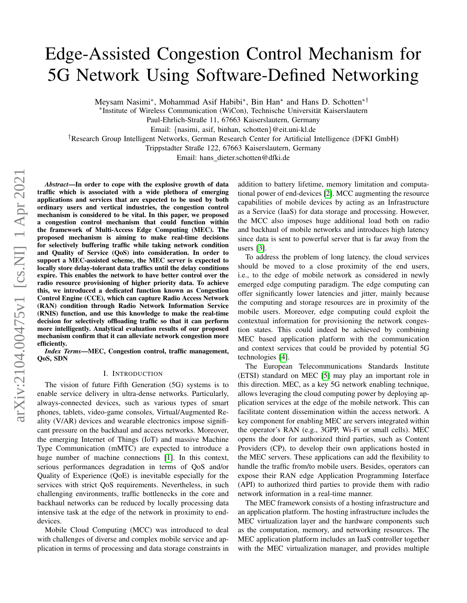# Edge-Assisted Congestion Control Mechanism for 5G Network Using Software-Defined Networking

Meysam Nasimi<sup>∗</sup>, Mohammad Asif Habibi<sup>∗</sup>, Bin Han<sup>∗</sup> and Hans D. Schotten<sup>∗†</sup>

∗ Institute of Wireless Communication (WiCon), Technische Universitat Kaiserslautern ¨

Paul-Ehrlich-Straße 11, 67663 Kaiserslautern, Germany

Email: {nasimi, asif, binhan, schotten}@eit.uni-kl.de

†Research Group Intelligent Networks, German Research Center for Artificial Intelligence (DFKI GmbH)

Trippstadter Straße 122, 67663 Kaiserslautern, Germany

Email: hans\_dieter.schotten@dfki.de

*Abstract*—In order to cope with the explosive growth of data traffic which is associated with a wide plethora of emerging applications and services that are expected to be used by both ordinary users and vertical industries, the congestion control mechanism is considered to be vital. In this paper, we proposed a congestion control mechanism that could function within the framework of Multi-Access Edge Computing (MEC). The proposed mechanism is aiming to make real-time decisions for selectively buffering traffic while taking network condition and Quality of Service (QoS) into consideration. In order to support a MEC-assisted scheme, the MEC server is expected to locally store delay-tolerant data traffics until the delay conditions expire. This enables the network to have better control over the radio resource provisioning of higher priority data. To achieve this, we introduced a dedicated function known as Congestion Control Engine (CCE), which can capture Radio Access Network (RAN) condition through Radio Network Information Service (RNIS) function, and use this knowledge to make the real-time decision for selectively offloading traffic so that it can perform more intelligently. Analytical evaluation results of our proposed mechanism confirm that it can alleviate network congestion more efficiently.

*Index Terms*—MEC, Congestion control, traffic management, QoS, SDN

#### I. INTRODUCTION

<span id="page-0-0"></span>The vision of future Fifth Generation (5G) systems is to enable service delivery in ultra-dense networks. Particularly, always-connected devices, such as various types of smart phones, tablets, video-game consoles, Virtual/Augmented Reality (V/AR) devices and wearable electronics impose significant pressure on the backhaul and access networks. Moreover, the emerging Internet of Things (IoT) and massive Machine Type Communication (mMTC) are expected to introduce a huge number of machine connections [\[1\]](#page-4-0). In this context, serious performances degradation in terms of QoS and/or Quality of Experience (QoE) is inevitable especially for the services with strict QoS requirements. Nevertheless, in such challenging environments, traffic bottlenecks in the core and backhaul networks can be reduced by locally processing data intensive task at the edge of the network in proximity to enddevices.

Mobile Cloud Computing (MCC) was introduced to deal with challenges of diverse and complex mobile service and application in terms of processing and data storage constraints in addition to battery lifetime, memory limitation and computational power of end-devices [\[2\]](#page-4-1). MCC augmenting the resource capabilities of mobile devices by acting as an Infrastructure as a Service (IaaS) for data storage and processing. However, the MCC also imposes huge additional load both on radio and backhaul of mobile networks and introduces high latency since data is sent to powerful server that is far away from the users [\[3\]](#page-4-2).

To address the problem of long latency, the cloud services should be moved to a close proximity of the end users, i.e., to the edge of mobile network as considered in newly emerged edge computing paradigm. The edge computing can offer significantly lower latencies and jitter, mainly because the computing and storage resources are in proximity of the mobile users. Moreover, edge computing could exploit the contextual information for provisioning the network congestion states. This could indeed be achieved by combining MEC based application platform with the communication and context services that could be provided by potential 5G technologies [\[4\]](#page-4-3).

The European Telecommunications Standards Institute (ETSI) standard on MEC [\[5\]](#page-4-4) may play an important role in this direction. MEC, as a key 5G network enabling technique, allows leveraging the cloud computing power by deploying application services at the edge of the mobile network. This can facilitate content dissemination within the access network. A key component for enabling MEC are servers integrated within the operator's RAN (e.g., 3GPP, Wi-Fi or small cells). MEC opens the door for authorized third parties, such as Content Providers (CP), to develop their own applications hosted in the MEC servers. These applications can add the flexibility to handle the traffic from/to mobile users. Besides, operators can expose their RAN edge Application Programming Interface (API) to authorized third parties to provide them with radio network information in a real-time manner.

The MEC framework consists of a hosting infrastructure and an application platform. The hosting infrastructure includes the MEC virtualization layer and the hardware components such as the computation, memory, and networking resources. The MEC application platform includes an IaaS controller together with the MEC virtualization manager, and provides multiple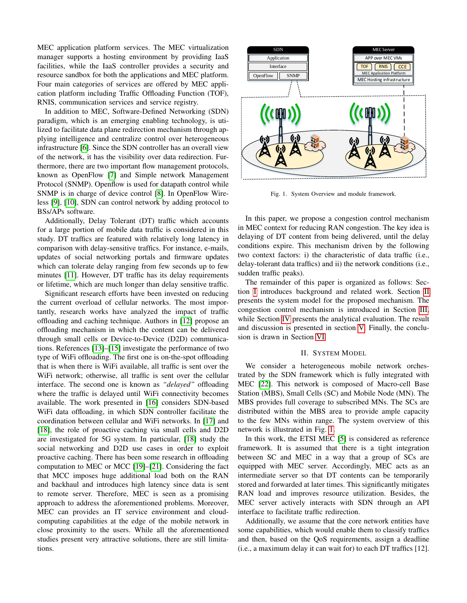MEC application platform services. The MEC virtualization manager supports a hosting environment by providing IaaS facilities, while the IaaS controller provides a security and resource sandbox for both the applications and MEC platform. Four main categories of services are offered by MEC application platform including Traffic Offloading Function (TOF), RNIS, communication services and service registry.

In addition to MEC, Software-Defined Networking (SDN) paradigm, which is an emerging enabling technology, is utilized to facilitate data plane redirection mechanism through applying intelligence and centralize control over heterogeneous infrastructure [\[6\]](#page-4-5). Since the SDN controller has an overall view of the network, it has the visibility over data redirection. Furthermore, there are two important flow management protocols, known as OpenFlow [\[7\]](#page-4-6) and Simple network Management Protocol (SNMP). Openflow is used for datapath control while SNMP is in charge of device control [\[8\]](#page-4-7). In OpenFlow Wireless [\[9\]](#page-4-8), [\[10\]](#page-4-9), SDN can control network by adding protocol to BSs/APs software.

Additionally, Delay Tolerant (DT) traffic which accounts for a large portion of mobile data traffic is considered in this study. DT traffics are featured with relatively long latency in comparison with delay-sensitive traffics. For instance, e-mails, updates of social networking portals and firmware updates which can tolerate delay ranging from few seconds up to few minutes [\[11\]](#page-4-10). However, DT traffic has its delay requirements or lifetime, which are much longer than delay sensitive traffic.

Significant research efforts have been invested on reducing the current overload of cellular networks. The most importantly, research works have analyzed the impact of traffic offloading and caching technique. Authors in [\[12\]](#page-4-11) propose an offloading mechanism in which the content can be delivered through small cells or Device-to-Device (D2D) communications. References [\[13\]](#page-4-12)–[\[15\]](#page-4-13) investigate the performance of two type of WiFi offloading. The first one is on-the-spot offloading that is when there is WiFi available, all traffic is sent over the WiFi network; otherwise, all traffic is sent over the cellular interface. The second one is known as *"delayed"* offloading where the traffic is delayed until WiFi connectivity becomes available. The work presented in [\[16\]](#page-4-14) considers SDN-based WiFi data offloading, in which SDN controller facilitate the coordination between cellular and WiFi networks. In [\[17\]](#page-4-15) and [\[18\]](#page-4-16), the role of proactive caching via small cells and D2D are investigated for 5G system. In particular, [\[18\]](#page-4-16) study the social networking and D2D use cases in order to exploit proactive caching. There has been some research in offloading computation to MEC or MCC [\[19\]](#page-4-17)–[\[21\]](#page-4-18). Considering the fact that MCC imposes huge additional load both on the RAN and backhaul and introduces high latency since data is sent to remote server. Therefore, MEC is seen as a promising approach to address the aforementioned problems. Moreover, MEC can provides an IT service environment and cloudcomputing capabilities at the edge of the mobile network in close proximity to the users. While all the aforementioned studies present very attractive solutions, there are still limitations.



<span id="page-1-1"></span>Fig. 1. System Overview and module framework.

In this paper, we propose a congestion control mechanism in MEC context for reducing RAN congestion. The key idea is delaying of DT content from being delivered, until the delay conditions expire. This mechanism driven by the following two context factors: i) the characteristic of data traffic (i.e., delay-tolerant data traffics) and ii) the network conditions (i.e., sudden traffic peaks).

The remainder of this paper is organized as follows: Section [I](#page-0-0) introduces background and related work. Section [II](#page-1-0) presents the system model for the proposed mechanism. The congestion control mechanism is introduced in Section [III,](#page-2-0) while Section [IV](#page-2-1) presents the analytical evaluation. The result and discussion is presented in section [V.](#page-3-0) Finally, the conclusion is drawn in Section [VI.](#page-4-19)

### II. SYSTEM MODEL

<span id="page-1-0"></span>We consider a heterogeneous mobile network orchestrated by the SDN framework which is fully integrated with MEC [\[22\]](#page-4-20). This network is composed of Macro-cell Base Station (MBS), Small Cells (SC) and Mobile Node (MN). The MBS provides full coverage to subscribed MNs. The SCs are distributed within the MBS area to provide ample capacity to the few MNs within range. The system overview of this network is illustrated in Fig. [1.](#page-1-1)

In this work, the ETSI MEC [\[5\]](#page-4-4) is considered as reference framework. It is assumed that there is a tight integration between SC and MEC in a way that a group of SCs are equipped with MEC server. Accordingly, MEC acts as an intermediate server so that DT contents can be temporarily stored and forwarded at later times. This significantly mitigates RAN load and improves resource utilization. Besides, the MEC server actively interacts with SDN through an API interface to facilitate traffic redirection.

Additionally, we assume that the core network entities have some capabilities, which would enable them to classify traffics and then, based on the QoS requirements, assign a deadline (i.e., a maximum delay it can wait for) to each DT traffics [12].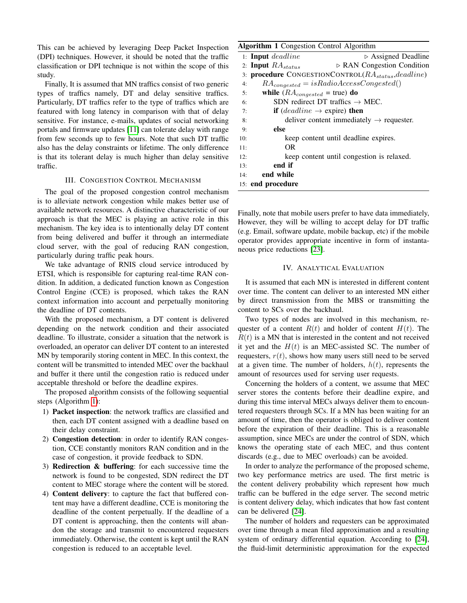This can be achieved by leveraging Deep Packet Inspection (DPI) techniques. However, it should be noted that the traffic classification or DPI technique is not within the scope of this study.

Finally, It is assumed that MN traffics consist of two generic types of traffics namely, DT and delay sensitive traffics. Particularly, DT traffics refer to the type of traffics which are featured with long latency in comparison with that of delay sensitive. For instance, e-mails, updates of social networking portals and firmware updates [\[11\]](#page-4-10) can tolerate delay with range from few seconds up to few hours. Note that such DT traffic also has the delay constraints or lifetime. The only difference is that its tolerant delay is much higher than delay sensitive traffic.

## III. CONGESTION CONTROL MECHANISM

<span id="page-2-0"></span>The goal of the proposed congestion control mechanism is to alleviate network congestion while makes better use of available network resources. A distinctive characteristic of our approach is that the MEC is playing an active role in this mechanism. The key idea is to intentionally delay DT content from being delivered and buffer it through an intermediate cloud server, with the goal of reducing RAN congestion, particularly during traffic peak hours.

We take advantage of RNIS cloud service introduced by ETSI, which is responsible for capturing real-time RAN condition. In addition, a dedicated function known as Congestion Control Engine (CCE) is proposed, which takes the RAN context information into account and perpetually monitoring the deadline of DT contents.

With the proposed mechanism, a DT content is delivered depending on the network condition and their associated deadline. To illustrate, consider a situation that the network is overloaded, an operator can deliver DT content to an interested MN by temporarily storing content in MEC. In this context, the content will be transmitted to intended MEC over the backhaul and buffer it there until the congestion ratio is reduced under acceptable threshold or before the deadline expires.

The proposed algorithm consists of the following sequential steps (Algorithm [1\)](#page-2-2):

- 1) Packet inspection: the network traffics are classified and then, each DT content assigned with a deadline based on their delay constraint.
- 2) Congestion detection: in order to identify RAN congestion, CCE constantly monitors RAN condition and in the case of congestion, it provide feedback to SDN.
- 3) Redirection & buffering: for each successive time the network is found to be congested, SDN redirect the DT content to MEC storage where the content will be stored.
- 4) Content delivery: to capture the fact that buffered content may have a different deadline, CCE is monitoring the deadline of the content perpetually. If the deadline of a DT content is approaching, then the contents will abandon the storage and transmit to encountered requesters immediately. Otherwise, the content is kept until the RAN congestion is reduced to an acceptable level.

## <span id="page-2-2"></span>Algorithm 1 Congestion Control Algorithm

|                                                                  | $1:$ Input deadline                                           | $\triangleright$ Assigned Deadline                   |
|------------------------------------------------------------------|---------------------------------------------------------------|------------------------------------------------------|
|                                                                  | 2: Input $RA_{status}$                                        | $\triangleright$ RAN Congestion Condition            |
| 3: <b>procedure</b> CONGESTIONCONTROL( $RA_{status}, deadline$ ) |                                                               |                                                      |
| 4:                                                               | $RA_{congested} = isRadioAccessCongested()$                   |                                                      |
| 5:                                                               | while $(RA_{congested} = true)$ do                            |                                                      |
| 6:                                                               | SDN redirect DT traffics $\rightarrow$ MEC.                   |                                                      |
| 7:                                                               | <b>if</b> ( <i>deadline</i> $\rightarrow$ expire) <b>then</b> |                                                      |
| 8:                                                               |                                                               | deliver content immediately $\rightarrow$ requester. |
| 9:                                                               | else                                                          |                                                      |
| 10:                                                              |                                                               | keep content until deadline expires.                 |
| 11:                                                              | OR.                                                           |                                                      |
| 12:                                                              |                                                               | keep content until congestion is relaxed.            |
| 13:                                                              | end if                                                        |                                                      |
| 14:                                                              | end while                                                     |                                                      |
| 15: end procedure                                                |                                                               |                                                      |

Finally, note that mobile users prefer to have data immediately, However, they will be willing to accept delay for DT traffic (e.g. Email, software update, mobile backup, etc) if the mobile operator provides appropriate incentive in form of instantaneous price reductions [\[23\]](#page-4-21).

# IV. ANALYTICAL EVALUATION

<span id="page-2-1"></span>It is assumed that each MN is interested in different content over time. The content can deliver to an interested MN either by direct transmission from the MBS or transmitting the content to SCs over the backhaul.

Two types of nodes are involved in this mechanism, requester of a content  $R(t)$  and holder of content  $H(t)$ . The  $R(t)$  is a MN that is interested in the content and not received it yet and the  $H(t)$  is an MEC-assisted SC. The number of requesters,  $r(t)$ , shows how many users still need to be served at a given time. The number of holders,  $h(t)$ , represents the amount of resources used for serving user requests.

Concerning the holders of a content, we assume that MEC server stores the contents before their deadline expire, and during this time interval MECs always deliver them to encountered requesters through SCs. If a MN has been waiting for an amount of time, then the operator is obliged to deliver content before the expiration of their deadline. This is a reasonable assumption, since MECs are under the control of SDN, which knows the operating state of each MEC, and thus content discards (e.g., due to MEC overloads) can be avoided.

In order to analyze the performance of the proposed scheme, two key performance metrics are used. The first metric is the content delivery probability which represent how much traffic can be buffered in the edge server. The second metric is content delivery delay, which indicates that how fast content can be delivered [\[24\]](#page-4-22).

The number of holders and requesters can be approximated over time through a mean filed approximation and a resulting system of ordinary differential equation. According to [\[24\]](#page-4-22), the fluid-limit deterministic approximation for the expected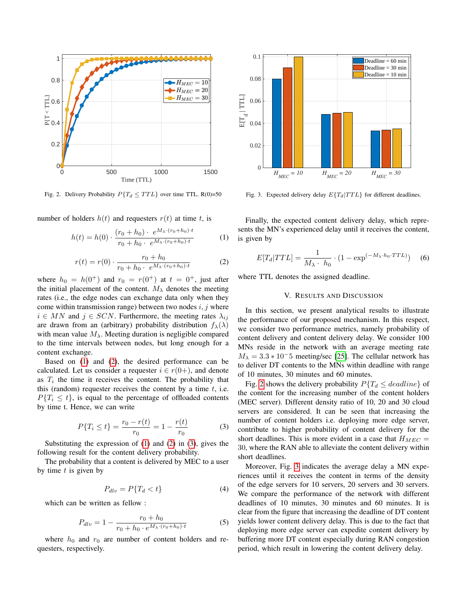

<span id="page-3-4"></span>Fig. 2. Delivery Probability  $P\{T_d \leq TTL\}$  over time TTL. R(0)=50

number of holders  $h(t)$  and requesters  $r(t)$  at time t, is

<span id="page-3-1"></span>
$$
h(t) = h(0) \cdot \frac{(r_0 + h_0) \cdot e^{M_\lambda \cdot (r_0 + h_0) \cdot t}}{r_0 + h_0 \cdot e^{M_\lambda \cdot (r_0 + h_0) \cdot t}}
$$
(1)

<span id="page-3-2"></span>
$$
r(t) = r(0) \cdot \frac{r_0 + h_0}{r_0 + h_0 \cdot e^{M_\lambda \cdot (r_0 + h_0) \cdot t}} \tag{2}
$$

where  $h_0 = h(0^+)$  and  $r_0 = r(0^+)$  at  $t = 0^+$ , just after the initial placement of the content.  $M_{\lambda}$  denotes the meeting rates (i.e., the edge nodes can exchange data only when they come within transmission range) between two nodes  $i, j$  where  $i \in MN$  and  $j \in SCN$ . Furthermore, the meeting rates  $\lambda_{ij}$ are drawn from an (arbitrary) probability distribution  $f_{\lambda}(\lambda)$ with mean value  $M_{\lambda}$ . Meeting duration is negligible compared to the time intervals between nodes, but long enough for a content exchange.

Based on [\(1\)](#page-3-1) and [\(2\)](#page-3-2), the desired performance can be calculated. Let us consider a requester  $i \in r(0+)$ , and denote as  $T_i$  the time it receives the content. The probability that this (random) requester receives the content by a time  $t$ , i.e.  $P\{T_i \leq t\}$ , is equal to the percentage of offloaded contents by time t. Hence, we can write

<span id="page-3-3"></span>
$$
P\{T_i \le t\} = \frac{r_0 - r(t)}{r_0} = 1 - \frac{r(t)}{r_0} \tag{3}
$$

Substituting the expression of  $(1)$  and  $(2)$  in  $(3)$ , gives the following result for the content delivery probability.

The probability that a content is delivered by MEC to a user by time  $t$  is given by

$$
P_{dlv} = P\{T_d < t\} \tag{4}
$$

which can be written as fellow :

$$
P_{dlv} = 1 - \frac{r_0 + h_0}{r_0 + h_0 \cdot e^{M_\lambda \cdot (r_0 + h_0) \cdot t}} \tag{5}
$$

where  $h_0$  and  $r_0$  are number of content holders and requesters, respectively.



<span id="page-3-5"></span>Fig. 3. Expected delivery delay  $E\{T_d | TTL\}$  for different deadlines.

Finally, the expected content delivery delay, which represents the MN's experienced delay until it receives the content, is given by

$$
E[T_d|TTL] = \frac{1}{M_{\lambda} \cdot h_0} \cdot (1 - \exp^{(-M_{\lambda} \cdot h_0 \cdot TTL)}) \quad (6)
$$

<span id="page-3-0"></span>where TTL denotes the assigned deadline.

# V. RESULTS AND DISCUSSION

In this section, we present analytical results to illustrate the performance of our proposed mechanism. In this respect, we consider two performance metrics, namely probability of content delivery and content delivery delay. We consider 100 MNs reside in the network with an average meeting rate  $M_{\lambda} = 3.3 \times 10^{-5}$  meeting/sec [\[25\]](#page-4-23). The cellular network has to deliver DT contents to the MNs within deadline with range of 10 minutes, 30 minutes and 60 minutes.

Fig. [2](#page-3-4) shows the delivery probability  $P\{T_d \leq \text{deadline}\}$  of the content for the increasing number of the content holders (MEC server). Different density ratio of 10, 20 and 30 cloud servers are considered. It can be seen that increasing the number of content holders i.e. deploying more edge server, contribute to higher probability of content delivery for the short deadlines. This is more evident in a case that  $H_{MEC} =$ 30, where the RAN able to alleviate the content delivery within short deadlines.

Moreover, Fig. [3](#page-3-5) indicates the average delay a MN experiences until it receives the content in terms of the density of the edge servers for 10 servers, 20 servers and 30 servers. We compare the performance of the network with different deadlines of 10 minutes, 30 minutes and 60 minutes. It is clear from the figure that increasing the deadline of DT content yields lower content delivery delay. This is due to the fact that deploying more edge server can expedite content delivery by buffering more DT content especially during RAN congestion period, which result in lowering the content delivery delay.